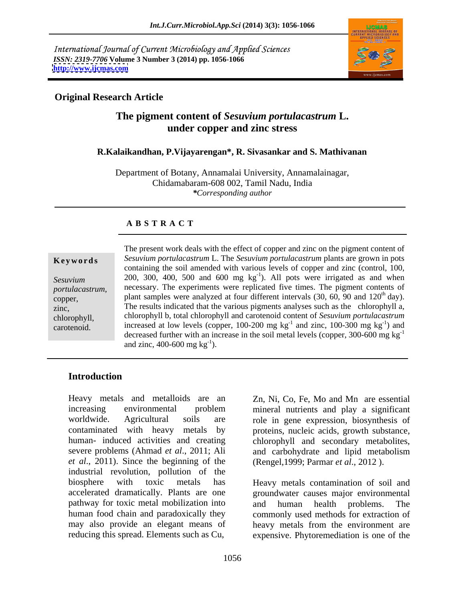International Journal of Current Microbiology and Applied Sciences *ISSN: 2319-7706* **Volume 3 Number 3 (2014) pp. 1056-1066 <http://www.ijcmas.com>**



### **Original Research Article**

### **The pigment content of** *Sesuvium portulacastrum* **L. under copper and zinc stress**

### **R.Kalaikandhan, P.Vijayarengan\*, R. Sivasankar and S. Mathivanan**

Department of Botany, Annamalai University, Annamalainagar, Chidamabaram-608 002, Tamil Nadu, India *\*Corresponding author*

### **A B S T R A C T**

**Ke ywo rds** *Sesuvium portulacastrum* L. The *Sesuvium portulacastrum* plants are grown in pots Sesuvium 200, 300, 400, 500 and 600 mg  $kg^{-1}$ ). All pots were irrigated as and when *portulacastrum*, incressary. The experiments were replicated five times. The pigment contents of plant samples were analyzed at four different intervals (30, 60, 90 and 120<sup>th</sup> day). zinc, The results indicated that the various pigments analyses such as the chlorophyll a, chlorophyll, chlorophyll b, total chlorophyll and carotenoid content of *Sesuvium portulacastrum* carotenoid. increased at low levels (copper, 100-200 mg kg<sup>-1</sup> and zinc, 100-300 mg kg<sup>-1</sup>) and The present work deals with the effect of copper and zinc on the pigment content of containing the soil amended with various levels of copper and zinc (control, 100, necessary. The experiments were replicated five times. The pigment contents of  $^{th}$  day).  $-1$  and ) and decreased further with an increase in the soil metal levels (copper, 300-600 mg  $kg^{-1}$ ) and zinc,  $400-600$  mg kg<sup>-1</sup>). and zinc, 400-600 mg  $kg^{-1}$ ).

### **Introduction**

increasing environmental problem mineral nutrients and play a significant worldwide. Agricultural soils are role in gene expression, biosynthesis of contaminated with heavy metals by human- induced activities and creating chlorophyll and secondary metabolites, severe problems (Ahmad *et al*., 2011; Ali and carbohydrate and lipid metabolism *et al.*, 2011). Since the beginning of the industrial revolution, pollution of the biosphere with toxic metals has Heavy metals contamination of soil and accelerated dramatically. Plants are one groundwater causes major environmental pathway for toxic metal mobilization into and human health problems. The human food chain and paradoxically they commonly used methods for extraction of may also provide an elegant means of heavy metals from the environment are reducing this spread. Elements such as Cu,

Heavy metals and metalloids are an Zn, Ni, Co, Fe, Mo and Mn are essential proteins, nucleic acids, growth substance, (Rengel,1999; Parmar *et al*., 2012 ).

> and human health problems. expensive. Phytoremediation is one of the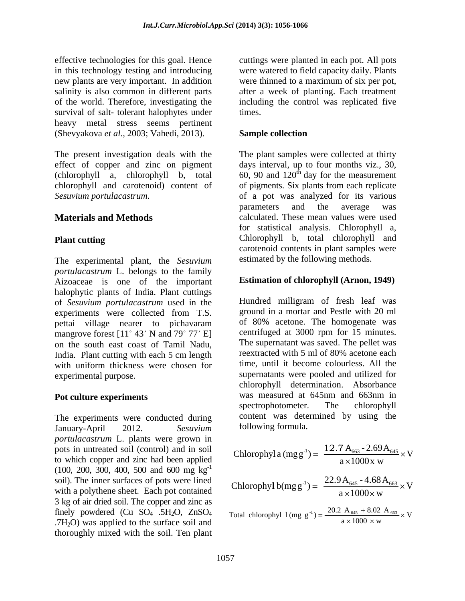effective technologies for this goal. Hence cuttings were planted in each pot. All pots in this technology testing and introducing new plants are very important. In addition were thinned to a maximum of six per pot, salinity is also common in different parts after a week of planting. Each treatment of the world. Therefore, investigating the including the control was replicated five survival of salt-tolerant halophytes under times. heavy metal stress seems pertinent (Shevyakova *et al*., 2003; Vahedi, 2013).

chlorophyll and carotenoid) content of of pigments. Six plants from each replicate

The experimental plant, the *Sesuvium portulacastrum* L. belongs to the family Aizoaceae is one of the important halophytic plants of India. Plant cuttings of *Sesuvium portulacastrum* used in the experiments were collected from T.S. pettai village nearer to pichavaram mangrove forest  $[11^\circ 43' N$  and  $79^\circ 77' E]$ on the south east coast of Tamil Nadu,<br>India Plant cutting with each 5 cm length<br>reextracted with 5 ml of 80% acetone each<br>on the south of the south of 80% acetone each<br> $\frac{1}{2}$ India. Plant cutting with each 5 cm length with uniform thickness were chosen for experimental purpose. supernatants were pooled and utilized for

The experiments were conducted during January-April 2012. *Sesuvium portulacastrum* L. plants were grown in pots in untreated soil (control) and in soil to which copper and zinc had been applied  $(100, 200, 300, 400, 500, 500, 600, 600, 700)$ 3 kg of air dried soil. The copper and zinc as .7H<sub>2</sub>O) was applied to the surface soil and thoroughly mixed with the soil. Ten plant

were watered to field capacity daily. Plants were thinned to a maximum of six per pot, times.

### **Sample collection**

The present investigation deals with the The plant samples were collected at thirty effect of copper and zinc on pigment days interval, up to four months viz., 30, (chlorophyll a, chlorophyll b, total  $60, 90$  and  $120<sup>th</sup>$  day for the measurement *Sesuvium portulacastrum*. of a pot was analyzed for its various **Materials and Methods calculated.** These mean values were used **Plant cutting** Chlorophyll b, total chlorophyll and of pigments. Six plants from each replicate parameters and the average was for statistical analysis. Chlorophyll a, carotenoid contents in plant samples were estimated by the following methods.

### **Estimation of chlorophyll (Arnon, 1949)**

**Pot culture experiments** was measured at 645nm and 663nm in spectrophotometer. The chlorophyll Hundred milligram of fresh leaf was ground in a mortar and Pestlewith 20 ml of 80% acetone. The homogenate was centrifuged at 3000 rpm for 15 minutes. The supernatant was saved. The pellet was reextracted with 5 ml of 80% acetone each time, until it become colourless. All the chlorophyll determination. Absorbance was measured at 645nm and 663nm in spectrophotometer. The chlorophyll content was determined by using the following formula.

$$
\frac{d}{d} \quad \text{Chlorophyl a (mg g}^{-1}) = \frac{12.7 \, \text{A}_{663} - 2.69 \, \text{A}_{645}}{a \times 1000 \, \text{x w}} \times \text{V}
$$

V  $a \times 1000 \times w$  $22.9$  A<sub>645</sub> - 4.68 A<sub>663</sub>  $_{\rm M}$ soil). The inner surfaces of pots were lined<br>with a polythop short. Each not contained<br>Chlorophyl  $b(mg g^{-1}) = \frac{22.9 A_{645} - 4.68 A_{663}}{4.000} \times V$ with a polythene sheet. Each pot contained<br> $\frac{C_{\text{H}\text{O}}(D_{\text{H}})}{a \times 1000 \times w}$ 

V  $a \times 1000 \times w$ 20.2 A  $_{645}$  + 8.02 A  $_{663}$   $_{11}$  V finely powdered (Cu SO<sub>4</sub> .5H<sub>2</sub>O, ZnSO<sub>4</sub> Total chlorophyl  $1$ (mg g<sup>-1</sup>) =  $\frac{20.2 \text{ A}_{645} + 8.02 \text{ A}_{663}}{1000} \times$  V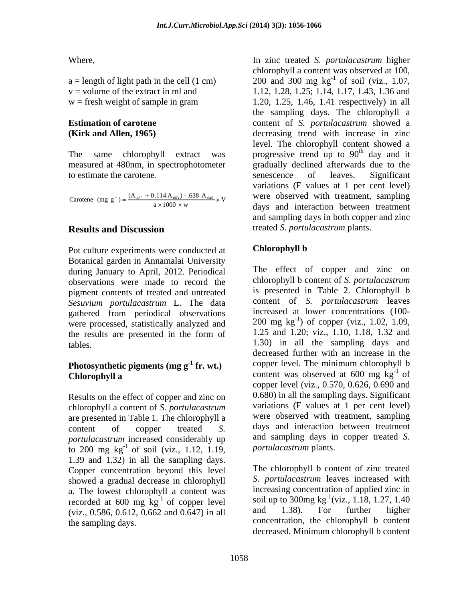to estimate the carotene. Senescence of leaves. Significant

Carotene (mg g<sup>-1</sup>) =  $\frac{(A_{480} + 0.114 A_{663}) - .638 A_{645}}{a \times 1000 \times w}$  × V

Pot culture experiments were conducted at **Chlorophyll b** Botanical garden in Annamalai University during January to April, 2012. Periodical observations were made to record the pigment contents of treated and untreated *Sesuvium portulacastrum* L. The data gathered from periodical observations were processed, statistically analyzed and the results are presented in the form of

# Photosynthetic pigments (mg  $g^{-1}$  fr. wt.)

Results on the effect of copper and zinc on chlorophyll a content of *S. portulacastrum* are presented in Table 1. The chlorophyll a *portulacastrum* increased considerably up to 200 mg  $\text{kg}^{-1}$  of soil (viz., 1.12, 1.19, portulaces trum plants. 1.39 and 1.32) in all the sampling days. Copper concentration beyond this level showed a gradual decrease in chlorophyll a. The lowest chlorophyll a content was recorded at 600 mg  $kg^{-1}$  of copper level soil up to 300mg  $kg^{-1}$  (viz., 1.18, 1.27, 1.40<br>(viz., 0.586, 0.612, 0.662 and 0.647) in all and 1.38). For further higher (viz., 0.586, 0.612, 0.662 and 0.647) in all

 $V$  were observed with treatment, sampling  $a \times 1000 \times w$  days and interaction between treatment  $(A_{480} + 0.114 A_{663}) - .638 A_{645} \times V$  were observed with treatment, sampling Where,<br>
a = length of light path in the cell (1 cm)<br>
coloriding the content was observed at 100,<br>
v = volume of the extract in ml and<br>
w = fresh weight of sample in gram<br>
w = fresh weight of sample in gram<br>
the sampling d  $a =$  length of light path in the cell (1 cm)  $200$  and 300 mg kg<sup>-1</sup> of soil (viz., 1.07, v = volume of the extract in ml and 1.12, 1.28, 1.25; 1.14, 1.17, 1.43, 1.36 and  $w =$  fresh weight of sample in gram  $1.20, 1.25, 1.46, 1.41$  respectively) in all **Estimation of carotene**  content of *S. portulacastrum* showed a **(Kirk and Allen, 1965)** decreasing trend with increase in zinc The same chlorophyll extract was progressive trend up to  $90<sup>th</sup>$  day and it measured at 480nm, in spectrophotometer gradually declined afterwards due to the **Results and Discussion** treated S. portulacastrum plants. In zinc treated *S. portulacastrum* higher chlorophyll a content was observed at 100, 1.20, 1.25, 1.46, 1.41 respectively) in all the sampling days. The chlorophyll a level. The chlorophyll content showed a <sup>th</sup> day and it senescence of leaves. Significant variations (F values at 1 per cent level) and sampling days in both copper and zinc treated *S. portulacastrum* plants.

## **Chlorophyll b**

tables. 1.30) in all the sampling days and **fr. wt.**) copper level. The minimum chlorophyll b **Chlorophyll a**content was observed at 600 mg kg<sup>-1</sup> of content of copper treated *S.*  days and interaction between treatment The effect of copper and zinc on chlorophyll b content of *S. portulacastrum* is presented in Table 2. Chlorophyll b content of *S. portulacastrum* leaves increased at lower concentrations (100- 200 mg kg -1 ) of copper (viz., 1.02, 1.09, 1.25 and 1.20; viz., 1.10, 1.18, 1.32 and decreased further with an increase in the  $\mathbf{f}^{-1}$  of copper level (viz., 0.570, 0.626, 0.690 and 0.680) in all the sampling days. Significant variations (F values at 1 per cent level) were observed with treatment, sampling and sampling days in copper treated *S. portulacastrum* plants.

<sup>-1</sup> of copper level soil up to 300mg  $kg^{-1}(viz., 1.18, 1.27, 1.40)$ the sampling days. concentration, the chlorophyll b content The chlorophyll b content of zinc treated *S. portulacastrum* leaves increased with increasing concentration of applied zinc in  $^{-1}$ (viz 1.10 1.27 1.40 (viz., 1.18, 1.27, 1.40 and 1.38). For further higher decreased. Minimum chlorophyll b content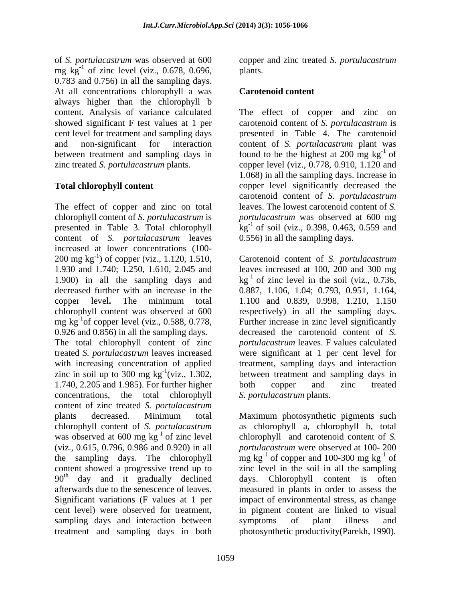of *S. portulacastrum* was observed at 600 copper and zinc treated *S. portulacastrum* mg  $\text{kg}^{-1}$  of zinc level (viz., 0.678, 0.696, plants. 0.783 and 0.756) in all the sampling days. At all concentrations chlorophyll a was always higher than the chlorophyll b

The effect of copper and zinc on total chlorophyll content of *S. portulacastrum* is *portulacastrum* was observed at 600 mg presented in Table 3. Total chlorophyll  $\log^{-1}$  of soil (viz., 0.398, 0.463, 0.559 and content of *S. portulacastrum* leaves increased at lower concentrations (100- 200 mg kg -1 ) of copper (viz., 1.120, 1.510, Carotenoid content of *S. portulacastrum* 1.930 and 1.740; 1.250, 1.610, 2.045 and leaves increased at 100, 200 and 300 mg 1.900) in all the sampling days and  $\text{kg}^{-1}$  of zinc level in the soil (viz., 0.736, decreased further with an increase in the 0.887, 1.106, 1.04; 0.793, 0.951, 1.164, copper level**.** The minimum total 1.100 and 0.839, 0.998, 1.210, 1.150 chlorophyll content was observed at 600 respectively) in all the sampling days. mg kg<sup>-1</sup> of copper level (viz., 0.588, 0.778, 0.926 and 0.856) in all the sampling days. The total chlorophyll content of zinc *portulacastrum* leaves. F values calculated treated *S. portulacastrum* leaves increased were significant at 1 per cent level for with increasing concentration of applied treatment, sampling days and interaction zinc in soil up to 300 mg  $kg^{-1}(viz., 1.302,$  between treatment and sampling days in 1.740, 2.205 and 1.985). For further higher both copper and zinc treated concentrations, the total chlorophyll content of zinc treated *S. portulacastrum* plants decreased. Minimum total Maximum photosynthetic pigments such chlorophyll content of *S. portulacastrum* as chlorophyll a, chlorophyll b, total was observed at 600 mg  $kg^{-1}$  of zinc level (viz., 0.615, 0.796, 0.986 and 0.920) in all *portulacastrum* were observed at 100- 200 the sampling days. The chlorophyll  $mg \, kg^{-1}$  of copper and 100-300 mg  $kg^{-1}$  of content showed a progressive trend up to zinc level in the soil in all the sampling 90<sup>th</sup> day and it gradually declined days. Chlorophyll content is often afterwards due to the senescence of leaves. measured in plants in order to assess the Significant variations (F values at 1 per cent level) were observed for treatment, in pigment content are linked to visual sampling days and interaction between symptoms of plant illness and

plants.

### **Carotenoid content**

content. Analysis of variance calculated The effect of copper and zinc on showed significant F test values at 1 per carotenoid content of *S. portulacastrum* is cent level for treatment and sampling days presented in Table 4. The carotenoid and non-significant for interaction content of *S. portulacastrum* plant was between treatment and sampling days in found to be the highest at 200 mg  $kg^{-1}$  of zinc treated *S. portulacastrum* plants. copper level (viz., 0.778, 0.910, 1.120 and **Total chlorophyll content** copper level significantly decreased the  $^{-1}$  of 1.068) in all the sampling days. Increase in carotenoid content of *S. portulacastrum* leaves. The lowest carotenoid content of *S.*  0.556) in all the sampling days.

<sup>-1</sup> of copper level (viz., 0.588, 0.778, Further increase in zinc level significantly decreased the carotenoid content of *S.*  both copper and zinc treated *S. portulacastrum* plants.

<sup>-1</sup> of zinc level chlorophyll and carotenoid content of *S*. treatment and sampling days in both photosynthetic productivity(Parekh, 1990).  $-1$  of of impact of environmental stress, as change symptoms of plant illness and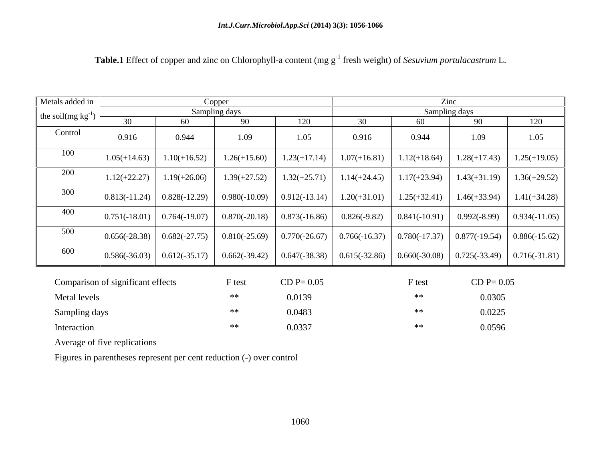| Metals added in         |                                   |                 | Copper          |                               |                 |                 | Zinc                                                                                       |                 |  |
|-------------------------|-----------------------------------|-----------------|-----------------|-------------------------------|-----------------|-----------------|--------------------------------------------------------------------------------------------|-----------------|--|
| the soil $(mg kg^{-1})$ |                                   |                 | Sampling days   |                               | Sampling days   |                 |                                                                                            |                 |  |
|                         | 30                                | 60              | 90              | 120                           | 30              | 60              | 90                                                                                         | 120             |  |
| Control                 | 0.916                             | 0.944           | 1.09            | 1.05                          | 0.916           | 0.944           | 1.09                                                                                       | 1.05            |  |
| 100                     | $1.05(+14.63)$                    | $1.10(+16.52)$  | $1.26(+15.60)$  | $1.23(+17.14)$                | $1.07(+16.81)$  | $1.12(+18.64)$  | $1.28(+17.43)$                                                                             | $1.25(+19.05)$  |  |
| 200                     | $1.12(+22.27)$                    | $1.19(+26.06)$  | $1.39(+27.52)$  | $1.32(+25.71)$                | $1.14(+24.45)$  | $1.17(+23.94)$  | $1.43(+31.19)$                                                                             | $1.36(+29.52)$  |  |
| 300                     | $0.813(-11.24)$                   | $0.828(-12.29)$ | $0.980(-10.09)$ | $0.912(-13.14)$               | $1.20(+31.01)$  | $1.25(+32.41)$  | $1.46(+33.94)$                                                                             | $1.41(+34.28)$  |  |
| 400                     | $0.751(-18.01)$                   | $0.764(-19.07)$ |                 | $0.870(-20.18)$ 0.873(-16.86) | $0.826(-9.82)$  | $0.841(-10.91)$ | $0.992(-8.99)$                                                                             | $0.934(-11.05)$ |  |
| 500                     | $0.656(-28.38)$                   | $0.682(-27.75)$ |                 | $0.810(-25.69)$ 0.770(-26.67) |                 |                 | $0.766(-16.37)$ $\big  0.780(-17.37) \big  0.877(-19.54)$                                  | $0.886(-15.62)$ |  |
| 600                     | $0.586(-36.03)$                   | $0.612(-35.17)$ | $0.662(-39.42)$ | $0.647(-38.38)$               | $0.615(-32.86)$ |                 | $\begin{array}{ c c c c c c c c } \hline 0.660(-30.08) & 0.725(-33.49) \hline \end{array}$ | $0.716(-31.81)$ |  |
|                         | Comparison of significant effects |                 | F test          | $CD P = 0.05$                 |                 | F test          | $CD P = 0.05$                                                                              |                 |  |
| Metal levels            |                                   |                 | **              | 0.0139                        |                 | $***$           | 0.0305                                                                                     |                 |  |
| Sampling days           |                                   |                 | **              | 0.0483                        |                 | $**$            | 0.0225                                                                                     |                 |  |
| Interaction             |                                   |                 | $**$            | 0.0337                        |                 | $**$            | 0.0596                                                                                     |                 |  |

**Table.1** Effect of copper and zinc on Chlorophyll-a content (mg g<sup>-1</sup> fresh weight) of *Sesuvium portulacastrum* L.

Average of five replications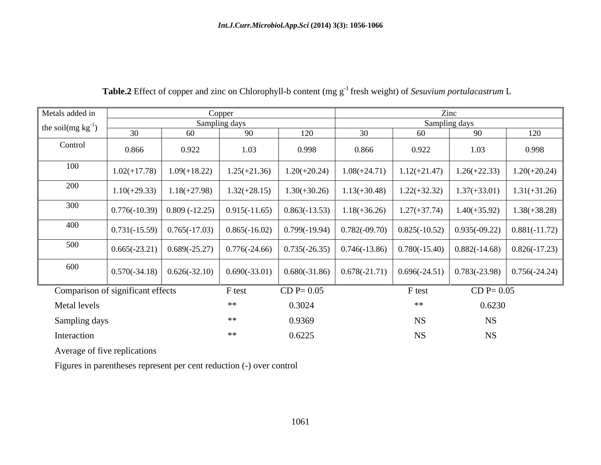| Metals added in         |                                              |                             | Copper         |                               |                                                                               |                 | Zinc                                                                                            |                 |
|-------------------------|----------------------------------------------|-----------------------------|----------------|-------------------------------|-------------------------------------------------------------------------------|-----------------|-------------------------------------------------------------------------------------------------|-----------------|
| the soil $(mg kg^{-1})$ |                                              |                             | Sampling days  |                               |                                                                               |                 | Sampling days                                                                                   |                 |
|                         | 30                                           | 60                          | 90             | 120                           | 30                                                                            | 60              | 90                                                                                              | 120             |
| Control                 | 0.866                                        | 0.922                       | 1.03           | 0.998                         | 0.866                                                                         | 0.922           | 1.03                                                                                            | 0.998           |
| 100                     |                                              | $1.02(+17.78)$ 1.09(+18.22) | $1.25(+21.36)$ | $1.20(+20.24)$                | $1.08(+24.71)$                                                                | $1.12(+21.47)$  | $1.26(+22.33)$                                                                                  | $1.20(+20.24)$  |
| 200                     | $1.10(+29.33)$                               | $1.18(+27.98)$              | $1.32(+28.15)$ | $1.30(+30.26)$                | $1.13(+30.48)$                                                                | $1.22(+32.32)$  | $1.37(+33.01)$                                                                                  | $1.31(+31.26)$  |
| 300                     | $\mid$ 0.776(-10.39) $\mid$ 0.809 (-12.25)   |                             |                | $0.915(-11.65)$ 0.863(-13.53) | $1.18(+36.26)$                                                                | $1.27(+37.74)$  | $1.40(+35.92)$                                                                                  | $1.38(+38.28)$  |
| 400                     | $\mid 0.731(-15.59) \mid 0.765(-17.03) \mid$ |                             |                |                               | $0.865(-16.02)$ $\big  0.799(-19.94) \big  0.782(-09.70) \big  0.825(-10.52)$ |                 | $0.935(-09.22)$                                                                                 | $0.881(-11.72)$ |
| 500                     | $\mid$ 0.665(-23.21) $\mid$ 0.689(-25.27)    |                             |                |                               | $0.776(-24.66)$ $\mid$ 0.735(-26.35) $\mid$ 0.746(-13.86)                     | $0.780(-15.40)$ | $0.882(-14.68)$                                                                                 | $0.826(-17.23)$ |
| 600                     | $\mid 0.570(-34.18) \mid 0.626(-32.10) \mid$ |                             |                |                               |                                                                               |                 | $0.690(-33.01)$ $0.680(-31.86)$ $0.678(-21.71)$ $0.696(-24.51)$ $0.783(-23.98)$ $0.756(-24.24)$ |                 |
|                         | Comparison of significant effects            |                             | F test         | $CD P = 0.05$                 |                                                                               | F test          | $CD P = 0.05$                                                                                   |                 |
| Metal levels            |                                              |                             | **             | 0.3024                        |                                                                               | **              | 0.6230                                                                                          |                 |
| Sampling days           |                                              |                             | **             | 0.9369                        |                                                                               | NS              | <b>NS</b>                                                                                       |                 |
| Interaction             |                                              |                             | $**$           | 0.6225                        |                                                                               | <b>NS</b>       | <b>NS</b>                                                                                       |                 |

# **Table.2** Effect of copper and zinc on Chlorophyll-b content (mg g<sup>-1</sup> fresh weight) of *Sesuvium portulacastrum* L

Average of five replications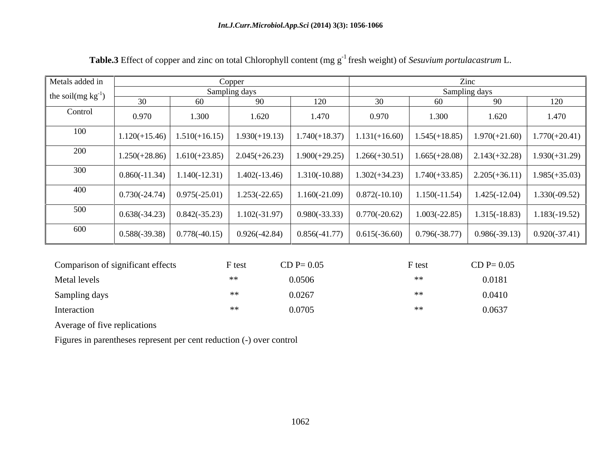| Metals added in         |                                              |                                                  | Copper                                                         |       | $\mathop{\rm Zinc}\nolimits$                                                               |                 |                                   |                 |  |  |
|-------------------------|----------------------------------------------|--------------------------------------------------|----------------------------------------------------------------|-------|--------------------------------------------------------------------------------------------|-----------------|-----------------------------------|-----------------|--|--|
| the soil $(mg kg^{-1})$ |                                              |                                                  | Sampling days                                                  |       | Sampling days                                                                              |                 |                                   |                 |  |  |
|                         |                                              | 60                                               | -90                                                            | 120   | 30                                                                                         | 60              | 90                                | 120             |  |  |
| Control                 | 0.970                                        | 1.300                                            | 1.620                                                          | 1.470 | 0.970                                                                                      | 1.300           | 1.620                             | 1.470           |  |  |
| 100                     |                                              |                                                  | $\mid$ 1.120(+15.46) $\mid$ 1.510(+16.15) $\mid$ 1.930(+19.13) |       | $1.740(+18.37)$   $1.131(+16.60)$   $1.545(+18.85)$                                        |                 | $1.970(+21.60)$   $1.770(+20.41)$ |                 |  |  |
| 200                     |                                              |                                                  | $1.250(+28.86)$   $1.610(+23.85)$   $2.045(+26.23)$            |       | $1.900(+29.25)$   $1.266(+30.51)$   $1.665(+28.08)$   $2.143(+32.28)$   $1.930(+31.29)$    |                 |                                   |                 |  |  |
| 300                     |                                              | $\mid 0.860(-11.34) \mid 1.140(-12.31) \mid$     | $1.402(-13.46)$                                                |       | $1.310(-10.88)$   $1.302(+34.23)$   $1.740(+33.85)$                                        |                 | $2.205(+36.11)$   $1.985(+35.03)$ |                 |  |  |
| 400                     | $\mid 0.730(-24.74) \mid 0.975(-25.01) \mid$ |                                                  | $1.253(-22.65)$                                                |       | $1.160(-21.09)$ $\begin{array}{ l} 0.872(-10.10) & 1.150(-11.54) \end{array}$              |                 | $1.425(-12.04)$                   | $1.330(-09.52)$ |  |  |
| 500                     |                                              | $\vert 0.638(-34.23) \vert 0.842(-35.23) \vert$  | $1.102(-31.97)$                                                |       | $\begin{array}{ c c c c c c c c } \hline 0.980(-33.33) & 0.770(-20.62) \hline \end{array}$ | $1.003(-22.85)$ | $1.315(-18.83)$                   | $1.183(-19.52)$ |  |  |
| 600                     |                                              | $\mid$ 0.588(-39.38) $\mid$ 0.778(-40.15) $\mid$ | $0.926(-42.84)$                                                |       | $\vert$ 0.856(-41.77) $\vert$ 0.615(-36.60) $\vert$ 0.796(-38.77)                          |                 | $0.986(-39.13)$ 0.920(-37.41)     |                 |  |  |

| Comparison of significant effects | F test | $CD P = 0.05$ | F test | $CD P = 0.05$ |
|-----------------------------------|--------|---------------|--------|---------------|
| Metal levels                      |        | 0.0506        |        | 0.0181        |
| Sampling days                     | ∗∗     | 0.0267        |        | 0.0410        |
| Interaction                       | $**$   | 0.0705        |        | 0.0637        |

Average of five replications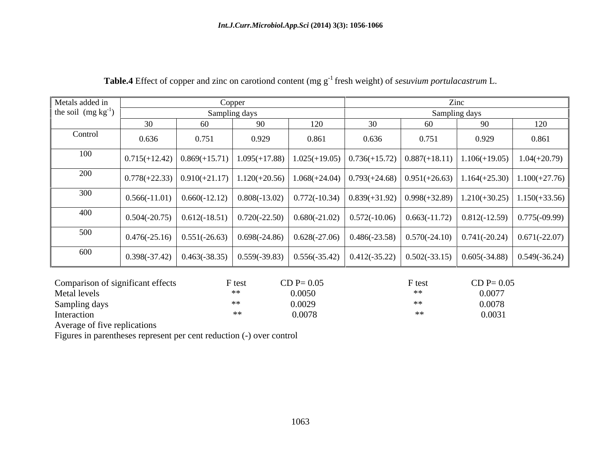| Metals added in         |       | Copper |               |       |                                                                                                                                 |       | Zinc          |                                                                                                                                                                                |
|-------------------------|-------|--------|---------------|-------|---------------------------------------------------------------------------------------------------------------------------------|-------|---------------|--------------------------------------------------------------------------------------------------------------------------------------------------------------------------------|
| the soil $(mg kg^{-1})$ |       |        | Sampling days |       |                                                                                                                                 |       | Sampling days |                                                                                                                                                                                |
|                         | 30    | 60     | 90            |       | 30                                                                                                                              | 60    |               | 120                                                                                                                                                                            |
| Control                 | 0.636 | 0.751  | 0.929         | 0.861 | 0.636                                                                                                                           | 0.751 | 0.929         | 0.861                                                                                                                                                                          |
| 100                     |       |        |               |       |                                                                                                                                 |       |               | $\mid$ 0.715(+12.42) $\mid$ 0.869(+15.71) $\mid$ 1.095(+17.88) $\mid$ 1.025(+19.05) $\mid$ 0.736(+15.72) $\mid$ 0.887(+18.11) $\mid$ 1.106(+19.05) $\mid$ 1.04(+20.79)         |
| 200                     |       |        |               |       |                                                                                                                                 |       |               | $\mid 0.778(+22.33) \mid 0.910(+21.17) \mid 1.120(+20.56) \mid 1.068(+24.04) \mid 0.793(+24.68) \mid 0.951(+26.63) \mid 1.164(+25.30) \mid 1.100(+27.76) \mid$                 |
| 300                     |       |        |               |       |                                                                                                                                 |       |               | $0.566(-11.01)$ $0.660(-12.12)$ $0.808(-13.02)$ $0.772(-10.34)$ $0.839(+31.92)$ $0.998(+32.89)$ $1.210(+30.25)$ $1.150(+33.56)$                                                |
| 400                     |       |        |               |       |                                                                                                                                 |       |               | $\mid$ 0.504(-20.75) $\mid$ 0.612(-18.51) $\mid$ 0.720(-22.50) $\mid$ 0.680(-21.02) $\mid$ 0.572(-10.06) $\mid$ 0.663(-11.72) $\mid$ 0.812(-12.59) $\mid$ 0.775(-09.99) $\mid$ |
| 500                     |       |        |               |       | $0.476(-25.16)$ $0.551(-26.63)$ $0.698(-24.86)$ $0.628(-27.06)$ $0.486(-23.58)$ $0.570(-24.10)$ $0.741(-20.24)$ $0.671(-22.07)$ |       |               |                                                                                                                                                                                |
| 600                     |       |        |               |       |                                                                                                                                 |       |               | $\mid$ 0.398(-37.42) $\mid$ 0.463(-38.35) $\mid$ 0.559(-39.83) $\mid$ 0.556(-35.42) $\mid$ 0.412(-35.22) $\mid$ 0.502(-33.15) $\mid$ 0.605(-34.88) $\mid$ 0.549(-36.24) $\mid$ |

Table.4 Effect of copper and zinc on carotiond content (mg g<sup>-1</sup> fresh weight) of *sesuvium portulacastrum* L.

| Comparison of significant effects | F test | $CD P = 0.05$ | $\sim$ 1051 | $CD P = 0.05$                                   |
|-----------------------------------|--------|---------------|-------------|-------------------------------------------------|
| Metal levels                      | **     | 0.0050        |             | 0.0077                                          |
| Sampling days                     | ∗∗     | 0.0029        |             |                                                 |
| Interaction                       |        | 0.0078        |             | $\begin{array}{c} 0.0078 \\ 0.0031 \end{array}$ |

Average of five replications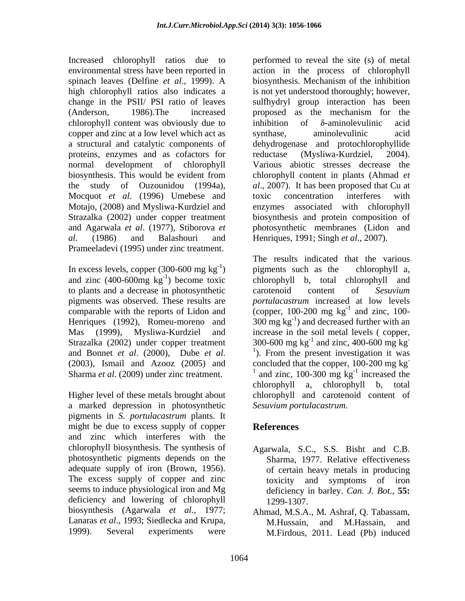Increased chlorophyll ratios due to spinach leaves (Delfine *et al*., 1999). A change in the PSII/ PSI ratio of leaves chlorophyll content was obviously due to inhibition of  $\delta$ -aminolevulinic acid copper and zinc at a low level which act as synthase, aminolevulinic acid proteins, enzymes and as cofactors for reductase (Mysliwa-Kurdziel, 2004). Mocquot *et al*. (1996) Umebese and *al*. (1986) and Balashouri and Henriques, 1991; Singh *et al*., 2007). Prameeladevi (1995) under zinc treatment.

In excess levels, copper  $(300-600 \text{ mg kg}^{-1})$  pigments such as the chlorophyll a, and zinc  $(400-600mg kg<sup>-1</sup>)$  become toxic to plants and a decrease in photosynthetic carotenoid content of Sesuvium Strazalka (2002) under copper treatment Sharma *et al*. (2009) under zinc treatment.

a marked depression in photosynthetic pigments in *S. portulacastrum* plants. It might be due to excess supply of copper References and zinc which interferes with the chlorophyll biosynthesis. The synthesis of Agarwala, S.C., S.S. Bisht and C.B. photosynthetic pigments depends on the adequate supply of iron (Brown, 1956). The excess supply of copper and zinc seems to induce physiological iron and Mg deficiency and lowering of chlorophyll 1299-1307. biosynthesis (Agarwala *et al*., 1977; Lanaras *et al*., 1993; Siedlecka and Krupa,

environmental stress have been reported in action in the process of chlorophyll high chlorophyll ratios also indicates a is not yet understood thoroughly; however, (Anderson, 1986).The increased proposed as the mechanism for the a structural and catalytic components of dehydrogenase and protochlorophyllide normal development of chlorophyll Various abiotic stresses decrease the biosynthesis. This would be evident from chlorophyll content in plants (Ahmad *et*  the study of Ouzounidou (1994a), *al*., 2007). It has been proposed that Cu at Motajo, (2008) and Mysliwa-Kurdziel and enzymes associated with chlorophyll Strazalka (2002) under copper treatment biosynthesis and protein composition of and Agarwala *et al*. (1977), Stiborova *et*  photosynthetic membranes (Lidon and performed to reveal the site (s) of metal biosynthesis. Mechanism of the inhibition sulfhydryl group interaction has been inhibition of  $\delta$ -aminolevulinic acid synthase, aminolevulinic acid reductase (Mysliwa-Kurdziel, 2004). toxic concentration interferes with

 $^{-1}$  nigmants such as the chlorophyll a pigments such as the <sup>-1</sup>) become toxic chlorophyll b, total chlorophyll and pigments was observed. These results are *portulacastrum* increased at low levels comparable with the reports of Lidon and (copper, 100-200 mg kg<sup>-1</sup> and zinc, 100-Henriques (1992), Romeu-moreno and  $300 \text{ mg kg}^{-1}$ ) and decreased further with an Mas (1999), Mysliwa-Kurdziel and increase in the soil metal levels ( copper, and Bonnet *et al.* (2000), Dube *et al.* <sup>1</sup>). From the present investigation it was (2003), Ismail and Azooz (2005) and concluded that the copper, 100-200 mg kg Higher level of these metals brought about chlorophyll and carotenoid content of The results indicated that the various pigments such as the chlorophyll a, carotenoid content of *Sesuvium*   $^{-1}$  and zing  $100$ and zinc, 100- 300-600 mg  $kg^{-1}$  and zinc, 400-600 mg  $kg^{-1}$ and zinc, 400-600 mg kg **-** Construction of the construction <sup>1</sup>). From the present investigation it was concluded that the copper, 100-200 mg kg **-** Construction of the construction  $^{1}$  and zinc, 100-300 mg kg<sup>-1</sup> increased the  $^{-1}$  increased the increased the chlorophyll a, chlorophyll b, total *Sesuvium portulacastrum*.

# **References**

- Sharma, 1977. Relative effectiveness of certain heavy metals in producing toxicity and symptoms of iron deficiency in barley. *Can. J. Bot*., **55:** 1299-1307.
- 1999). Several experiments were M.Firdous, 2011. Lead (Pb) inducedAhmad, M.S.A., M. Ashraf, Q. Tabassam, M.Hussain, and M.Hassain,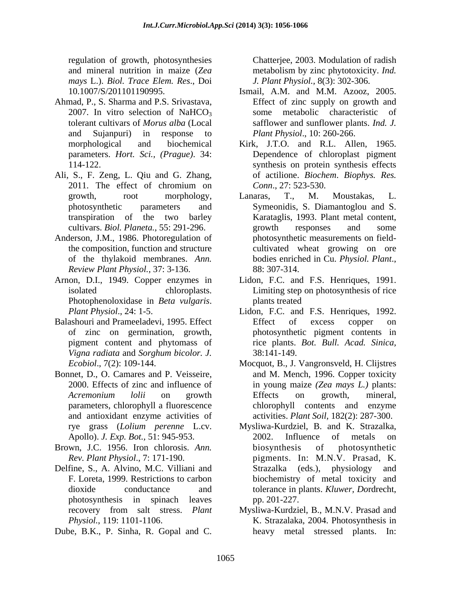regulation of growth, photosynthesies Chatterjee, 2003. Modulation of radish and mineral nutrition in maize (*Zea mays* L.). *Biol. Trace Elem. Res*., Doi

- Ahmad, P., S. Sharma and P.S. Srivastava, parameters. *Hort. Sci., (Prague)*. 34:
- Ali, S., F. Zeng, L. Qiu and G. Zhang, 2011. The effect of chromium on Conn., 27: 523-530.
- Anderson, J.M., 1986. Photoregulation of *Review Plant Physiol.*, 37: 3-136.
- Photophenoloxidase in *Beta vulgaris*.
- Balashouri and Prameeladevi, 1995. Effect Effect of excess copper on of zinc on germination, growth, *Vigna radiata* and *Sorghum bicolor. J.*
- Bonnet, D., O. Camares and P. Veisseire, parameters, chlorophyll a fluorescence and antioxidant enzyme activities of
- 
- Delfine, S., A. Alvino, M.C. Villiani and Strazalka (eds.), physiology and
- 

metabolism by zinc phytotoxicity. *Ind. J. Plant Physiol.,* 8(3): 302-306.

- 10.1007/S/201101190995. Ismail, A.M. and M.M. Azooz, 2005. 2007. In vitro selection of  $NaHCO<sub>3</sub>$  some metabolic characteristic of tolerant cultivars of *Morus alba* (Local safflower and sunflower plants. *Ind. J.* and Sujanpuri) in response to *Plant Physiol*., 10: 260-266. Effect of zinc supply on growth and some metabolic characteristic *Plant Physiol*., 10: 260-266.
- morphological and biochemical Kirk, J.T.O. and R.L. Allen, 1965. 114-122. synthesis on protein synthesis effects Dependence of chloroplast pigment of actilione. *Biochem*. *Biophys. Res. Conn*., 27: 523-530.
- growth, root morphology, Lanaras, T., M. Moustakas, L. photosynthetic parameters and Symeonidis, S. Diamantoglou and S. transpiration of the two barley Karataglis, 1993. Plant metal content, cultivars. *Biol. Planeta.*, 55: 291-296. the composition, function and structure cultivated wheat growing on ore of the thylakoid membranes. *Ann.*  Lanaras, T., M. Moustakas, L. growth responses and some photosynthetic measurements on field bodies enriched in Cu. *Physiol. Plant*., 88: 307-314.
- Arnon, D.I., 1949. Copper enzymes in Lidon, F.C. and F.S. Henriques, 1991. isolated chloroplasts. Limiting step on photosynthesis of rice plants treated **plants** transfer that the state of  $\mathbf{r}$  and  $\mathbf{r}$  and  $\mathbf{r}$  and  $\mathbf{r}$  are stated **plants** transfer that  $\mathbf{r}$  and  $\mathbf{r}$  are stated **plants** transfer that  $\mathbf{r}$  and  $\mathbf{r}$  are stated
	- *Plant Physiol*., 24: 1-5. Lidon, F.C. and F.S. Henriques, 1992. pigment content and phytomass of rice plants. *Bot. Bull. Acad. Sinica,* Effect of excess copper on photosynthetic pigment contents in 38:141-149.
	- *Ecobiol*., 7(2): 109-144. Mocquot, B., J. Vangronsveld, H. Clijstres 2000. Effects of zinc and influence of in young maize *(Zea mays L.)* plants: *Acremonium lolii* on growth and M. Mench, 1996. Copper toxicity Effects on growth, mineral, chlorophyll contents and enzyme activities. *Plant Soil,* 182(2): 287-300.
- rye grass (*Lolium perenne* L.cv. Mysliwa-Kurdziel, B. and K. Strazalka, Apollo). *J. Exp. Bot.,* 51: 945-953. Brown, J.C. 1956. Iron chlorosis. *Ann. Rev. Plant Physiol*., 7: 171-190. pigments. In: M.N.V. Prasad, K. F. Loreta, 1999. Restrictions to carbon biochemistry of metal toxicity and dioxide conductance and tolerance in plants. *Kluwer, Do*rdrecht, photosynthesis in spinach leaves equalities of proximation of the two bases of the matrix of radio  $\frac{1}{2}$  (Equation of the Channel and C. B. B. Gopal and C. Chatter (Equation of the Channel and C. Chatter (Equation of the Channel and C. Chatter (Equat 2002. Influence of metals on biosynthesis of photosynthetic Strazalka (eds.), physiology and pp. 201-227.
	- recovery from salt stress. *Plant*  Mysliwa-Kurdziel, B., M.N.V. Prasad and *Physiol.*, 119: 1101-1106. K. Strazalaka, 2004. Photosynthesis in heavy metal stressed plants. In: